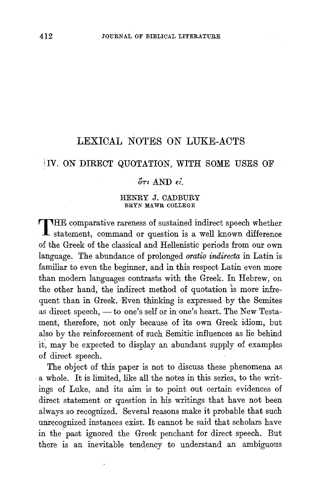## LEXICAL NOTES ON LUKE-ACTS

## IV. ON DIRECT QUOTATION, WITH SOME USES OF

## $\delta\tau$  AND  $\epsilon\ell$ .

## HENRY J. CADBURY BRYN MAWR COLLEGE

THE comparative rareness of sustained indirect speech whether<br>statement, command or question is a well known difference of the Greek of the classical and Hellenistic periods from our own language. The abundance of prolonged *oratio indirecta* in Latin is familiar to even the beginner, and in this respect Latin even more than modern languages contrasts with the Greek. In Hebrew, on the other hand, the indirect method of quotation is more infrequent than in Greek. Even thinking is expressed by the Semites as direct speech, - to one's self or in one's heart. The New Testament, therefore, not only because of its own Greek idiom, but also by the reinforcement of such Semitic influences as lie behind it, may be expected to display an abundant supply of examples of direct speech.

The object of this paper is not to discuss these phenomena as a whole. It is limited, like all the notes in this series, to the writings of Luke, and its aim is to point out certain evidences of direct statement or question in his writings that have not been always so recognized. Several reasons make it probable that such unrecognized instances exist. It cannot be said that scholars have in the past ignored the Greek penchant for direct speech. But there is an inevitable tendency to understand an ambiguous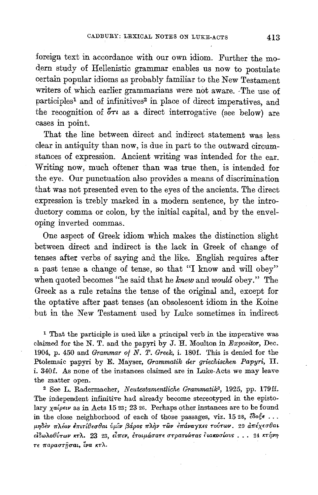foreign text in accordance with our own idiom. Further the modern study of Hellenistic grammar enables us now to postulate certain popular idioms as probably familiar to the New Testament writers of which earlier grammarians were not aware. -The use of participles<sup>1</sup> and of infinitives<sup>2</sup> in place of direct imperatives, and the recognition of  $5\tau$  as a direct interrogative (see below) are cases in point.

That the line between direct and indirect statement was less clear in antiquity than now, is due in part to the outward circumstances of expression. Ancient writing was intended for the ear. Writing now, much oftener than was true then, is intended for the eye. Our punctuation also provides a means of discrimination that was not presented even to the eyes of the ancients. The direct expression is trebly marked in a modern sentence, by the introductory comma or colon, by the initial capital, and by the enveloping inverted commas.

One aspect of Greek idiom which makes the distinction slight between direct and indirect is the lack in Greek of change of tenses after verbs of saying and the like. English requires after a past tense a change of tense, so that "I know and will obey" when quoted becomes "he said that he *knew* and *would* obey." The Greek as a rule retains the tense of the original and, except for the optative after past tenses (an obsolescent idiom in the Koine but in the New Testament used by Luke sometimes in indirect

1 That the participle is used like a principal verb in the imperative was <sup>1</sup> That the participle is used like a principal verb in the imperative was claimed for the N. T. and the papyri by J. H. Moulton in *Expositor*, Dec. 1904, p. 450 and *Grammar of N. T. Greek*, *i.* 180f. This is denied for the Ptolemaic papyri by E. Mayser, Grammatik der griechischen Papyri, II. i. 340f. As none of the instances claimed are in Luke-Acts we may leave the *matter* open.

<sup>2</sup> See L. Radermacher, Neutestamentliche Grammatik<sup>2</sup>, 1925, pp. 179ff. The independent infinitive had already become stereotyped in the epistolary  $\chi a/\rho \epsilon \nu$  as in Acts 15 23; 23 26. Perhaps other instances are to be found *in the close neighborhood of each of those passages, viz. 15 28, ¿os€ ...* μηδεν πλέον επιτίθεσθαι ύμιν βάρος πλήν των επάναγχες τούτων. 29 απέχεσθαι *είδωλοθύτων κτλ.* 23 23, εἶπεν, ἐτοιμάσατε στρατιώτας ἶιακοσίους . . . 24 κτήνη<br>τε παραστήσαι, ἶνα κτλ.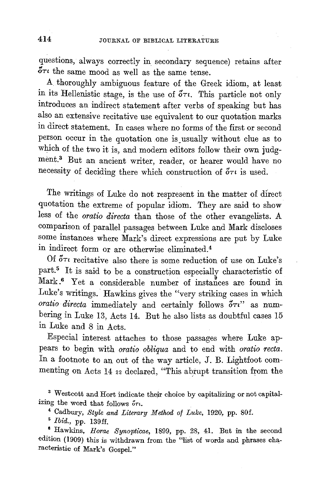questions, always correctly in secondary sequence) retains after  $\delta\tau\iota$  the same mood as well as the same tense.

A thoroughly ambiguous feature of the Greek idiom, at least in its Hellenistic stage, is the use of  $\tilde{\sigma}\tau\iota$ . This particle not only introduces an indirect statement after verbs of speaking but has also an extensive recitative use equivalent to our quotation marks in direct statement. In cases where no forms of the first or second person occur in the quotation one is\_ usually without clue as to which of the two it is, and modern editors follow their own judgment.<sup>3</sup> But an ancient writer, reader, or hearer would have no necessity of deciding there which construction of  $\tilde{\sigma}\tau\iota$  is used.

The writings of Luke do not respresent in the matter of direct quotation the extreme of popular idiom. They are said to show less of the *oratio directa* than those of the other evangelists. A comparison of parallel passages between Luke and Mark discloses some instances where Mark's direct expressions are put by Luke in indirect form or are otherwise eliminated.4

Of *OTt* recitative also there is some reduction of use on Luke's part.<sup>5</sup> It is said to be a construction especially characteristic of Mark.<sup>6</sup> Yet a considerable number of instances are found in Luke's writings. Hawkins gives the "very striking cases in which *oratio directa* immediately and certainly follows  $\tilde{\sigma}\tau$ <sup>"</sup> as numbering in Luke 13, Acts 14. But he also lists as doubtful cases 15 in Luke and 8 in Acts.

Especial interest attaches to those passages where Luke appears to begin with *oralio obliqua* and to end with *oratio recta.*  In a footnote to an out of the way article, J. B. Lightfoot commenting on Acts 14  $_{22}$  declared, "This abrupt transition from the

3 Westcott and Hort indicate their choice by capitalizing or not capitalizing the word that follows  $\delta r$ .

<sup>4</sup>Cadbury, *Style and Literary Method of Luke,* 1920, pp. 80f. 5 *Ibid.,* pp. 139££. 8 Hawkins, *Horae Synopticae,* 1899, pp. 28, 41. But in the second edition (1909) this is withdrawn from the "list of words and phrases characteristic of Mark's Gospel."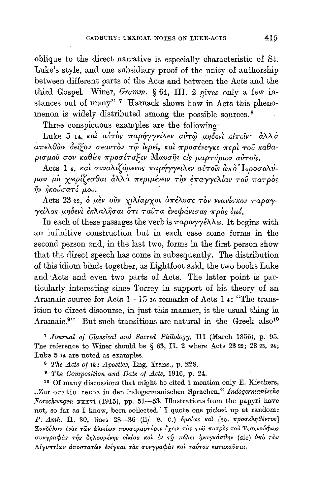oblique to the direct narrative is especially characteristic of St. Luke's style, and one subsidiary proof of the unity of authorship between different parts of the Acts and between the Acts and the third Gospel. Winer, Gramm. § 64, III. 2 gives only a few instances out of many".<sup>7</sup> Harnack shows how in Acts this phenomenon is widely distributed among the possible sources.<sup>8</sup>

Three conspicuous examples are the following:

Luke 5 14, και αυτός παρήγγειλεν αυτώ μηδενι είπειν· άλλα απελθών δείξον σεαυτόν τώ ίερεί, και προσένεγκε περί του καθαρισμού σου καθώς προσέταξεν Μωυσης είς μαρτύριον αύτοις.

Acts 1 4, και συναλιζόμενος παρήγγειλεν αυτοΐς από Ιεροσολύμων μη χωρίζεσθαι άλλα περιμένειν την έπαγγελίαν του πατρός ην ηκούσατέ μου.

Acts 23 22, ο μέν ούν χιλίαρχος απέλυσε τον νεανίσκον παραγγείλας μηδενί έκλαλησαι ότι ταύτα ένεφάνισας πρός έμέ.

In each of these passages the verb is  $\pi a\rho a\gamma\gamma\epsilon\lambda\lambda\omega$ . It begins with an infinitive construction but in each case some forms in the second person and, in the last two, forms in the first person show that the direct speech has come in subsequently. The distribution of this idiom binds together, as Lightfoot said, the two books Luke and Acts and even two parts of Acts. The latter point is particularly interesting since Torrey in support of his theory of an Aramaic source for Acts 1-15 36 remarks of Acts 1 4: "The transition to direct discourse, in just this manner, is the usual thing in Aramaic.<sup>9</sup>" But such transitions are natural in the Greek also<sup>10</sup>

<sup>7</sup> Journal of Classical and Sacred Philology, III (March 1856), p. 95. The reference to Winer should be  $\S 63$ , II. 2 where Acts 23 22; 23 23, 24; Luke 5 14 are noted as examples.

<sup>8</sup> The Acts of the Apostles, Eng. Trans., p. 228.

<sup>9</sup> The Composition and Date of Acts, 1916, p. 24.

<sup>10</sup> Of many discussions that might be cited I mention only E. Kieckers, "Zur oratio recta in den indogermanischen Sprachen," Indogermanische Forschungen xxxvi (1915), pp. 51-53. Illustrations from the papyri have not, so far as I know, been collected. I quote one picked up at random: P. Amh. II. 30, lines  $28-36$  (ii) B. C.) δμοίως και [sc. προσκληθέντος] Κονδύλου ένος των άλιείων προσεμαρτύρει έχειν τας του πατρος του Τεσενούφιος συνγραφάς της δηλουμένης οικίας και έν τη πόλει ηναγκάσθην (sic) υπό των Αίγυπτίων αποστατών ένέγκαι τας συνγραφάς και ταύτας κατακαύσαι.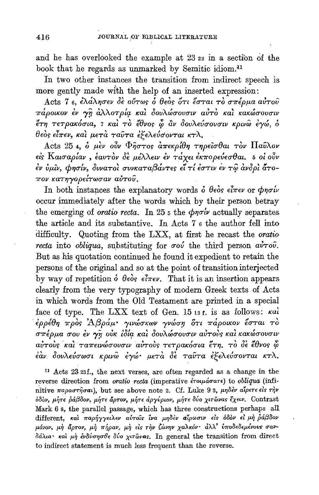and he has overlooked the example at 23 22 in a section of the book that he regards as unmarked by Semitic idiom.<sup>11</sup>

In two other instances the transition from indirect speech is more gently made with the help of an inserted expression:

Acts 7 6, ελάλησεν δε ούτως ο θεός ότι έσται το σπέρμα αύτου πάροικον έν γη άλλοτρία και δουλώσουσιν αύτο και κακώσουσιν έτη τετρακόσια, 7 και το έθνος φ αν δουλεύσουσιν κρινώ εγώ, ο θεός είπεν, και μετά ταύτα έξελεύσονται κτλ.

Acts 25 4, ο μέν ούν Φήστος απεκρίθη τηρείσθαι τον Παύλον είς Καισαρίαν, έαυτον δε μέλλειν έν τάχει έκπορεύεσθαι. 5 οι ούν έν ύμιν, φησίν, δυνατοί συνκαταβάντες εί τί έστιν εν τω ανδρί άτοπον κατηγορείτωσαν αύτου.

In both instances the explanatory words  $\delta$   $\theta$ eos  $\epsilon \hat{i} \pi \epsilon \nu$  or  $\phi \eta \sigma \nu$ occur immediately after the words which by their person betray the emerging of *oratio recta*. In 25  $\epsilon$  the  $\phi\eta\sigma\omega$  actually separates the article and its substantive. In Acts 7 6 the author fell into difficulty. Quoting from the LXX, at first he recast the oratio recta into obliqua, substituting for  $\sigma o\acute{\nu}$  the third person  $a\grave{\nu}\tau o\hat{\nu}$ . But as his quotation continued he found it expedient to retain the persons of the original and so at the point of transition interjected by way of repetition  $\delta$   $\theta$ eòs  $\epsilon \hat{l} \pi \epsilon \nu$ . That it is an insertion appears clearly from the very typography of modern Greek texts of Acts in which words from the Old Testament are printed in a special face of type. The LXX text of Gen. 15 13 f. is as follows: kal έρρέθη πρός Άβράμ· γινώσκων γνώση δτι πάροικον έσται το σπέρμα σου έν γη ούκ ίδία και δουλώσουσιν αυτούς και κακώσουσιν αύτους και ταπεινώσουσιν αύτους τετρακόσια έτη, το δε έθνος φ έαν δουλεύσωσι κρινώ έγώ μετά δε ταύτα έξελεύσονται κτλ.

<sup>11</sup> Acts 23 23f., the next verses, are often regarded as a change in the reverse direction from oratio recta (imperative έτοιμάσατε) to obliqua (infinitive παραστήσαι), but see above note 2. Cf. Luke 93, μηδέν αίρετε είς την όδον, μήτε ράβδον, μήτε άρτον, μήτε αργύριον, μήτε δύο χιτώνας έχειν. Contrast Mark 6 s, the parallel passage, which has three constructions perhaps all different, και παρήγγειλεν αυτοίς ίνα μηδεν αίρωσιν είς όδον εί μη ράβδον μόνον, μὴ ἄρτον, μὴ πήραν, μὴ εἰs τὴν ζώνην χαλκόν· ἀλλ' ὑποδεδεμένους σανδάλια· και μη ένδύσησθε δύο χιτώνας. In general the transition from direct to indirect statement is much less frequent than the reverse.

416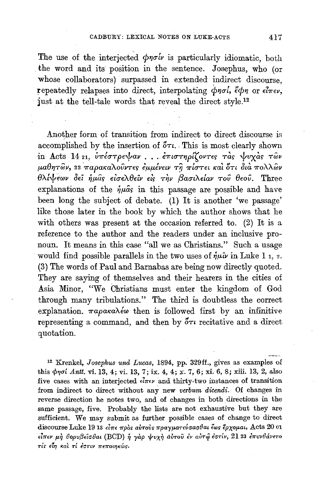The use of the interjected  $\phi\eta\sigma\dot{\psi}$  is particularly idiomatic, both the word and its position in the sentence. Josephus, who (or whose collaborators) surpassed in extended indirect discourse. repeatedly relapses into direct, interpolating  $\phi\eta\sigma\theta$ ,  $\phi\phi\eta$  or  $\epsilon\hat{l}\pi\epsilon\nu$ , just at the tell-tale words that reveal the direct style.<sup>12</sup>

Another form of transition from indirect to direct discourse is accomplished by the insertion of  $\delta\tau\iota$ . This is most clearly shown in Acts 14 21, υπέστρεψαν... επιστηρίζοντες τας ψυχάς των μαθητών, 22 παρακαλούντες έμμένειν τη πίστει και ότι διά πολλών θλίψεων δεί ήμας είσελθείν είς την βασιλείαν του θεού. Three explanations of the  $\dot{\eta}\mu\hat{a}s$  in this passage are possible and have been long the subject of debate. (1) It is another 'we passage' like those later in the book by which the author shows that he with others was present at the occasion referred to.  $(2)$  It is a reference to the author and the readers under an inclusive pronoun. It means in this case "all we as Christians." Such a usage would find possible parallels in the two uses of  $\hat{\eta} \mu \hat{\nu}$  in Luke 1, 2. (3) The words of Paul and Barnabas are being now directly quoted. They are saying of themselves and their hearers in the cities of Asia Minor, "We Christians must enter the kingdom of God through many tribulations." The third is doubtless the correct explanation.  $\pi a \rho a \kappa a \lambda \epsilon \omega$  then is followed first by an infinitive representing a command, and then by  $\sigma\tau\iota$  recitative and a direct quotation.

<sup>12</sup> Krenkel, Josephus und Lucas, 1894, pp. 329ff., gives as examples of this  $\phi$ noi Antt. vi. 13, 4; vi. 13, 7; ix. 4, 4; x. 7, 6; xi. 6, 8; xiii. 13, 2, also five cases with an interjected  $\epsilon l \pi \epsilon \nu$  and thirty-two instances of transition from indirect to direct without any new verbum dicendi. Of changes in reverse direction he notes two, and of changes in both directions in the same passage, five. Probably the lists are not exhaustive but they are sufficient. We may submit as further possible cases of change to direct discourse Luke 19 13 είπε πρός αύτους πραγματεύσασθαι έως έρχομαι, Acts 20 01 είπεν μή βορυβείσθαι (BCD) ή γάρ ψυχή αύτου έν αύτώ έστίν, 21 33 επυνθάνετο τίς είη και τί έστιν πεποιηκώς.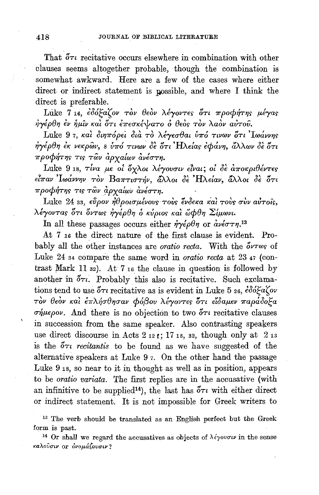That  $\delta\tau\iota$  recitative occurs elsewhere in combination with other clauses seems altogether probable, though the combination is somewhat awkward. Here are a few of the cases where either direct or indirect statement is possible, and where I think the direct is preferable.

Luke 7 16, εδόξαζον τον θεόν λέγοντες ότι προφήτης μέγας ήγέρθη έν ήμιν και ότι έπεσκέψατο ο θεός τον λαόν αύτου.

Luke 97, και διηπόρει διά το λέγεσθαι ύπό τινων ότι Ιωάννης ήγέρθη έκ νεκρών, 8 ύπό τινων δε ότι Ηλείας εφάνη, άλλων δε ότι προφήτης τις των αρχαίων ανέστη.

Luke 9 18,  $\tau$ ίνα με οι όχλοι λέγουσιν είναι; οι δε αποκριθέντες είπαν Ιωάννην τον Βαπτιστήν, άλλοι δε Ηλείαν, άλλοι δε ότι προφήτης τις των άρχαίων ανέστη.

Luke 24 33, εύρον ήθροισμένους τους ένδεκα και τους συν αύτοις, λέγοντας ότι όντως ήγέρθη ο κύριος και ώφθη Σίμωνι.

In all these passages occurs either  $\dot{\eta}\gamma\dot{\epsilon}\rho\theta\eta$  or  $\dot{a}\nu\dot{\epsilon}\sigma\tau\eta$ <sup>13</sup>

At 7 16 the direct nature of the first clause is evident. Probably all the other instances are *oratio recta*. With the  $\delta \nu \tau \omega_S$  of Luke 24 34 compare the same word in *oratio recta* at 23 47 (contrast Mark 11 s2). At 7 16 the clause in question is followed by another in  $\delta \tau t$ . Probably this also is recitative. Such exclamations tend to use  $5\tau i$  recitative as is evident in Luke 5 26,  $\epsilon \delta \acute{o} \epsilon a \acute{c} o \nu$ τον θεόν και επλήσθησαν φόβου λέγοντες ότι είδαμεν παράδοξα σήμερον. And there is no objection to two  $\delta\tau\iota$  recitative clauses in succession from the same speaker. Also contrasting speakers use direct discourse in Acts  $2_{12}$  ; 17 18, 32, though only at  $2_{13}$ is the  $5\tau i$  recitantis to be found as we have suggested of the alternative speakers at Luke 9 7. On the other hand the passage Luke 9 1s, so near to it in thought as well as in position, appears to be *oratio variata*. The first replies are in the accusative (with an infinitive to be supplied<sup>14</sup>), the last has  $\delta\tau\iota$  with either direct or indirect statement. It is not impossible for Greek writers to

<sup>13</sup> The verb should be translated as an English perfect but the Greek form is past.

<sup>14</sup> Or shall we regard the accusatives as objects of  $\lambda \epsilon \gamma \nu \nu \nu$  in the sense καλούσιν οτ όνομάζουσιν?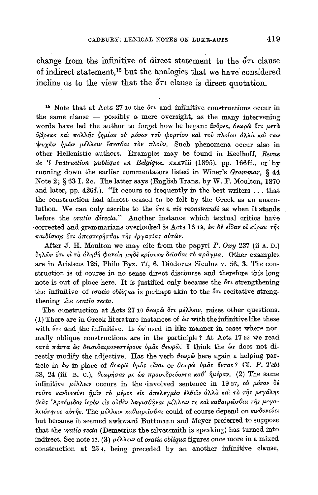change from the infinitive of direct statement to the  $5\tau\iota$  clause of indirect statement.<sup>15</sup> but the analogies that we have considered incline us to the view that the  $\delta \tau i$  clause is direct quotation.

<sup>15</sup> Note that at Acts 27 10 the  $\delta\tau$  and infinitive constructions occur in the same clause  $-$  possibly a mere oversight, as the many intervening words have led the author to forget how he began: avopes, θεωρώ ότι μετά ύβρεως και πολλής ζημίας ού μόνον του φορτίου και του πλοίου άλλα και των ψυχῶν ήμῶν μέλλειν ἔσεσθαι τὸν πλοῦν. Such phenomena occur also in other Hellenistic authors. Examples may be found in Keelhoff, Revue de 'l Instruction publique en Belgique, xxxviii (1895), pp. 166ff., or by running down the earlier commentators listed in Winer's Grammar, § 44 Note 2; § 63 I. 2c. The latter says (English Trans. by W. F. Moulton, 1870 and later, pp. 426f.). "It occurs so frequently in the best writers ... that the construction had almost ceased to be felt by the Greek as an anacoluthon. We can only ascribe to the  $\delta\tau\iota$  a vis monstrandi as when it stands before the oratio directa." Another instance which textual critics have corrected and grammarians overlooked is Acts 16 19, ως δε είδαν οι κύριοι της παιδίσκης ότι απεστερήσθαι της εργασίας αυτών.

After J. H. Moulton we may cite from the papyri  $P$ ,  $Oxy$  237 (ii A, D.) δηλών ότι εί τα αληθή φανείη μηδε κρίσεως δείσθαι το πράγμα. Other examples are in Aristeas 125, Philo Byz. 77, 6, Diodorus Siculus v. 56, 3. The construction is of course in no sense direct discourse and therefore this long note is out of place here. It is justified only because the  $\delta\tau\iota$  strengthening the infinitive of *oratio obliqua* is perhaps akin to the  $\delta \tau$  recitative strengthening the *oratio* recta.

The construction at Acts 27 10  $\theta \epsilon \omega \rho \hat{\omega}$  or  $\mu \epsilon \lambda \lambda \epsilon \nu$ , raises other questions. (1) There are in Greek literature instances of  $\omega s$  with the infinitive like these with  $\delta\tau\iota$  and the infinitive. Is  $\delta s$  used in like manner in cases where normally oblique constructions are in the participle? At Acts 17 22 we read κατά πάντα ως δεισιδαιμονεστέρους ύμας θεωρώ. I think the ως does not directly modify the adjective. Has the verb  $\theta$ e $\varphi$  here again a helping particle in ωs in place of θεωρώ ύμας είναι οτ θεωρώ ύμας όντας? Cf. P. Tebt 58, 24 (iii B. C.), θεωρήσας με ώς προσεδρεύοντα καθ' ήμέραν. (2) The same infinitive  $\mu \in \lambda$ λειν occurs in the involved sentence in 1927, ού μόνον δέ τούτο κινδυνεύει ήμίν το μέρος είς απελεγμον έλθείν άλλα και το της μεγάλης θεάς Αρτέμιδος ίερον είς ούθεν λογισθήναι μέλλειν τε και καθαιρείσθαι της μεγαλειότητος αύτης. The μέλλειν καθαιρείσθαι could of course depend on κινδυνεύει but because it seemed awkward Buttmann and Meyer preferred to suppose that the *oratio recta* (Demetrius the silversmith is speaking) has turned into indirect. See note 11. (3)  $\mu\epsilon\lambda\lambda\epsilon\nu$  of *oratio obliqua* figures once more in a mixed construction at 254, being preceded by an another infinitive clause,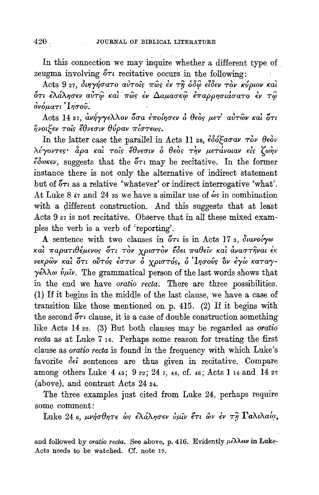In this connection we may inquire whether a different type of zeugma involving  $5\tau i$  recitative occurs in the following:

Acts 9 27, διηγήσατο αύτοις πως έν τη όδω είδεν τον κύριον και ότι έλάλησεν αύτώ και πώς έν Δαμασκώ έπαρρησιάσατο έν τώ ονόματι Τήσου.

Acts 14 27, ανήγγελλον όσα εποίησεν ο θεός μετ' αυτών και ότι ήνοιξεν τοις έθνεσιν θύραν πίστεως.

In the latter case the parallel in Acts 11 28,  $\epsilon \delta \delta \xi a \sigma a \nu \tau \delta \nu \theta \epsilon \delta \nu$ λέγοντες· άρα και τοις έθνεσιν ο θεός την μετάνοιαν είς ζωην έδωκεν, suggests that the  $\delta\tau$  may be recitative. In the former instance there is not only the alternative of indirect statement but of  $\delta\tau\iota$  as a relative 'whatever' or indirect interrogative 'what'. At Luke 8  $\alpha$  and 24 as we have a similar use of  $\omega$ s in combination with a different construction. And this suggests that at least Acts 9 27 is not recitative. Observe that in all these mixed examples the verb is a verb of 'reporting'.

A sentence with two clauses in  $\delta \tau i$  is in Acts 17 s,  $\delta u$ voi $\gamma \omega$ καί παρατιθέμενος ότι τον χριστον έδει παθείν και αναστήναι έκ νεκρών και ότι ούτός έστιν ο χριστός, ο Ιησούς ον έγω καταγ- $\gamma \in \Lambda$   $\omega$   $\psi$  $\mu \nu$ . The grammatical person of the last words shows that in the end we have *oratio recta*. There are three possibilities. (1) If it begins in the middle of the last clause, we have a case of transition like those mentioned on p. 415. (2) If it begins with the second  $\delta\tau\iota$  clause, it is a case of double construction something like Acts 14 22. (3) But both clauses may be regarded as *oratio* recta as at Luke 7 16. Perhaps some reason for treating the first clause as *oratio recta* is found in the frequency with which Luke's favorite dei sentences are thus given in recitative. Compare among others Luke 4 43; 9 22; 24 7, 44, cf. 46; Acts 1 16 and 14 22 (above), and contrast Acts 24 24.

The three examples just cited from Luke 24, perhaps require some comment:

Luke 24 6, μνήσθητε ως ελάλησεν ύμιν έτι ων εν τη Γαλιλαία,

and followed by oratio recta. See above, p. 416. Evidently  $\mu\epsilon\lambda\lambda\epsilon\nu$  in Luke-Acts needs to be watched. Cf. note 19.

 $420.$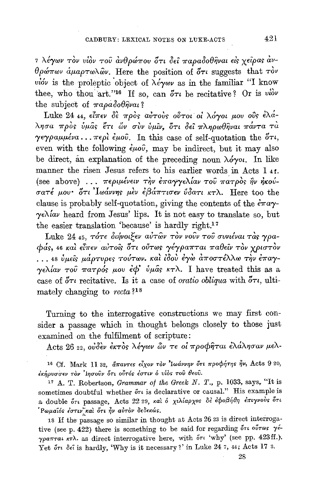η λέγων τον υίον του ανθρώπου ότι δεί παραδοθήναι είς χείρας αν- $\theta$ ρώπων άμαρτωλών. Here the position of ότι suggests that τον υίον is the proleptic object of  $\lambda \epsilon \gamma \omega \nu$  as in the familiar "I know thee, who thou art."<sup>16</sup> If so, can  $5\tau\iota$  be recitative? Or is viov the subject of  $\pi a \rho a \delta o \theta \hat{\eta}$ val?

Luke 24 44, είπεν δε προς αύτους ούτοι οι λόγοι μου ούς έλάλησα πρός ύμας έτι ών σύν ύμιν, ότι δεί πληρωθήναι πάντα τα γεγραμμένα... περί έμου. In this case of self-quotation the  $\delta\tau\iota$ , even with the following  $\epsilon \mu \omega \hat{\nu}$ , may be indirect, but it may also be direct, an explanation of the preceding noun  $\lambda \phi \gamma o \alpha$ . In like manner the risen Jesus refers to his earlier words in Acts 1 41. (see above) ... περιμένειν την έπαγγελίαν του πατρός ην ήκούσατέ μου· ότι Ιωάννης μεν εβάπτισεν ύδατι κτλ. Here too the clause is probably self-quotation, giving the contents of the  $\epsilon \pi a \gamma$ - $\gamma \in \Lambda$ lav heard from Jesus' lips. It is not easy to translate so, but the easier translation 'because' is hardly right.<sup>17</sup>

Luke 24 45, τότε διήνοιξεν αύτων τον νούν του συνιέναι τας γραφάς, 46 και είπεν αυτοίς ότι ούτως γέγραπται παθείν τον χριστον ... 48 ύμείς μάρτυρες τούτων. και ίδου έγω αποστέλλω την έπαγγελίαν του πατρός μου έφ' ύμας κτλ. I have treated this as a case of  $\delta\tau\iota$  recitative. Is it a case of *oratio obliqua* with  $\delta\tau\iota$ , ultimately changing to  $recta$  ?<sup>18</sup>

Turning to the interrogative constructions we may first consider a passage which in thought belongs closely to those just examined on the fulfilment of scripture:

Acts 26 22, ουδεν εκτός λέγων ὣν τε οί προφήται ελάλησαν μελ-

<sup>16</sup> Cf. Mark 11 32, άπαντες είχον τον 'Ιωάννην ότι προφήτης ήν, Acts 9 20, έκήρυσσεν τον 'Ιησούν ότι ούτός έστιν ό υίος του θεού.

<sup>17</sup> A. T. Robertson, *Grammar of the Greek N. T.*, p. 1033, says, "It is sometimes doubtful whether  $\delta\tau\iota$  is declarative or causal." His example is a double ότι passage, Acts 22 29, και ό χιλίαρχος δε εφοβήθη επιγνούς ότι Ρωμαΐός έστιν και ότι ήν αύτον δεδεκώς.

18 If the passage so similar in thought at Acts 26 23 is direct interrogative (see p. 422) there is something to be said for regarding  $\delta\tau\iota$  ov- $\gamma$ pa $\pi$ rat  $\kappa$ r $\lambda$ . as direct interrogative here, with  $\delta\tau$  'why' (see pp. 423ff.). Yet őri dei is hardly, 'Why is it necessary ?' in Luke 24 7, 44; Acts 17 3.

28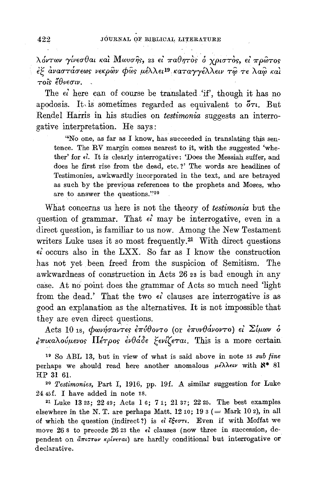λόντων γίνεσθαι και Μωυσης, 23 εί παθητός ο χριστός, εί πρώτος έξ αναστάσεως νεκρών φώς μέλλει<sup>19</sup> καταγγέλλειν τω τε λαώ και τοΐς ἔθνεσιν.

The  $\epsilon$  here can of course be translated 'if', though it has no apodosis. It is sometimes regarded as equivalent to  $5\tau\iota$ . But Rendel Harris in his studies on testimonia suggests an interrogative interpretation. He says:

"No one, as far as I know, has succeeded in translating this sentence. The RV margin comes nearest to it, with the suggested 'whether' for  $\epsilon$ . It is clearly interrogative: 'Does the Messiah suffer, and does he first rise from the dead, etc.?' The words are headlines of Testimonies, awkwardly incorporated in the text, and are betrayed as such by the previous references to the prophets and Moses, who are to answer the questions."20

What concerns us here is not the theory of testimonia but the question of grammar. That  $\epsilon i$  may be interrogative, even in a direct question, is familiar to us now. Among the New Testament writers Luke uses it so most frequently.<sup>21</sup> With direct questions  $\epsilon i$  occurs also in the LXX. So far as I know the construction has not yet been freed from the suspicion of Semitism. The awkwardness of construction in Acts 26 23 is bad enough in any case. At no point does the grammar of Acts so much need 'light from the dead.' That the two  $\epsilon i$  clauses are interrogative is as good an explanation as the alternatives. It is not impossible that they are even direct questions.

Acts 10 18,  $\phi$ ωνήσαντες επύθοντο (οι επυνθάνοντο) εί Σίμων δ  $\epsilon \pi$ ικαλούμενος Πέτρος ένθάδε ξενίζεται. This is a more certain

<sup>19</sup> So ABL 13, but in view of what is said above in note 15 sub fine perhaps we should read here another anomalous  $\mu \epsilon \lambda \lambda \epsilon \nu$  with  $\aleph^*$  81 HP 31 61.

<sup>20</sup> Testimonies, Part I, 1916, pp. 19f. A similar suggestion for Luke 24 45f. I have added in note 18.

<sup>21</sup> Luke 13 23; 22 49; Acts 1 6; 7 1; 21 37; 22 25. The best examples elsewhere in the N.T. are perhaps Matt. 12 10; 19  $\alpha$  (= Mark 10 2), in all of which the question (indirect?) is  $\epsilon l$   $\xi \xi \epsilon \sigma \tau l$ . Even if with Moffat we move 26.8 to precede 26.23 the  $\epsilon i$  clauses (now three in succession, dependent on anisor *kpiveral*) are hardly conditional but interrogative or declarative.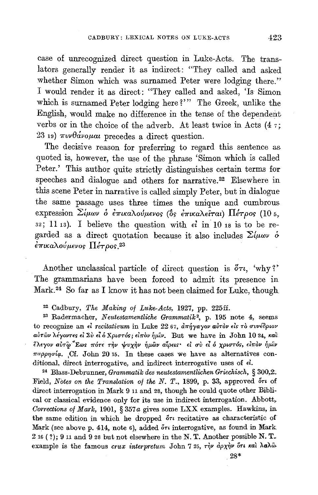case of unrecognized direct question in Luke-Acts. The translators generally render it as indirect: "They called and asked whether Simon which was surnamed Peter were lodging there." I would render it as direct: "They called and asked, 'Is Simon which is surnamed Peter lodging here?"' The Greek, unlike the English, would make no difference in the tense of the dependent verbs or in the choice of the adverb. At least twice in Acts  $(47)$ ;  $23$  19)  $\pi \nu \theta \dot{\alpha} \nu \dot{\alpha} \mu$  precedes a direct question.

The decisive reason for preferring to regard this sentence as quoted is, however, the use of the phrase 'Simon which is called Peter.' This author quite strictly distinguishes certain terms for speeches and dialogue and others for narrative.22 Elsewhere in this scene Peter in narrative is called simply Peter, but in dialogue the same passage uses three times the unique and cumbrous expression Σίμων ο επικαλούμενος (δς επικαλείται) Πέτρος (10 5, 32; 11 13). I believe the question with  $\epsilon l$  in 10 18 is to be regarded as a direct quotation because it also includes  $\Sigma \mu_{\omega \nu}$   $\delta$ *επικαλούμενος Πέτρος.*<sup>23</sup>

Another unclassical particle of direct question is  $\delta \tau t$ , 'why?' The grammarians have been forced to admit its presence in Mark.<sup>24</sup> So far as I know it has not been claimed for Luke, though

<sup>22</sup> Cadbury, *The Making of Luke-Acts*, 1927, pp. 225ff.

2-1 Radermacher, *Neutestamentliche Grammatik2,* p. 195 note 4, seems to recognize an εί recitativum in Luke 22 67, απήγαγον αυτόν είς το συνέδριον aύτων λέγοντες εί Σύ εί ο Χριστός; είπον ήμιν. But we have in John 10 24, και **£'Aeyov** *aln·fe·crEcos* **1I"0TE** T~V tvx~v ~p.ii>v **afpns•** *El uV t:l* **0** *xpr.crT0r, (d7r0v* ~}LiV  $\pi$ appnoia. Cf. John 20 15. In these cases we have as alternatives conditional, direct interrogative, and indirect interrogative uses of <1. 24 Blass-Debrunner, *Grammatik des neutestamentlichen Griechisch,* § 300,2:.

Field, *Notes on the Translation of the N. T.*, 1899, p. 33, approved  $5\tau\tau$  of direct interrogation in Mark 9 11 and 28, though he could quote other Biblical or classical evidence only for its use in indirect interrogation. Abbott, *Corrections of Mark,* 1901, § 357a gives some LXX examples. Hawkins, in the same edition in which he dropped  $\delta \tau \iota$  recitative as characteristic of Mark (see above p. 414, note 6), added  $\delta\tau\iota$  interrogative, as found in Mark 216 ( ?); 9 11 and 9 28 but not elsewhere in theN. T. Another possible N. **T**example is the famous *crux interpretum* John 7 25, την άρχην ότι και λαλώ.

28\*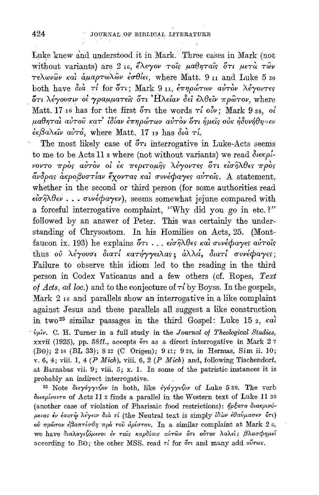Luke knew and understood it in Mark. Three cases in Mark (not without variants) are  $2_{16}$ , έλεγον τοις μαθηταίς ότι μετά των  $\tau \in \Lambda \omega \nu \hat{\omega} \nu$  και άμαρτωλ $\hat{\omega} \nu$  εσθίει, where Matt, 9 11 and Luke 5 30 both have  $\partial u \dot{\alpha}$   $\tau i$  for  $\delta \tau i$ ; Mark 9 11,  $\epsilon \pi \eta \rho \omega \tau \omega \nu$   $\alpha \nu \tau \partial \nu$   $\lambda \epsilon \gamma \omega \tau \epsilon \rho$ ότι λέγουσιν οι γραμματείς ότι Ηλείαν δεί ελθείν πρώτον, where Matt. 17 10 has for the first  $\delta \tau_l$  the words  $\tau_l$  oiv; Mark 9 28, oi μαθηταί αύτου κατ' ίδίαν επηρώτων αύτον ότι ήμεις ούκ ήδυνήθησεν  $\epsilon_{\kappa} \beta_{\alpha} \lambda_{\epsilon} \omega_{\alpha} \omega_{\alpha}$  where Matt. 17 19 has  $\delta_{\kappa} \alpha_{\alpha} \gamma'$ .

The most likely case of  $5\tau$  interrogative in Luke-Acts seems to me to be Acts 11 s where (not without variants) we read διεκρίνοντο πρός αύτον οι έκ περιτομής λέγοντες ότι εισήλθες πρός άνδρας ακροβυστίαν έχοντας και συνέφαγες αυτοίς. A statement, whether in the second or third person (for some authorities read  $\epsilon \hat{i}\sigma \hat{\eta} \lambda \theta \epsilon \nu$ ...  $\sigma \nu \hat{\kappa} \phi a \gamma \epsilon \nu$ , seems somewhat jejune compared with a forceful interrogative complaint, "Why did you go in etc.?" followed by an answer of Peter. This was certainly the understanding of Chrysostom. In his Homilies on Acts, 25. (Montfaucon ix. 193) he explains δτι... είσηλθες και συνέφαγες αύτοις thus ου λέγουσι διατί κατήγγειλας; άλλά, διατί συνέφαγες; Failure to observe this idiom led to the reading in the third person in Codex Vaticanus and a few others (cf. Ropes, Text of Acts, ad loc.) and to the conjecture of  $\tau i$  by Boyss. In the gospels, Mark 2 16 and parallels show an interrogative in a like complaint against Jesus and these parallels all suggest a like construction in two<sup>25</sup> similar passages in the third Gospel: Luke 15<sub>2</sub>, kal ύμιν. C. H. Turner in a full study in the Journal of Theological Studies, xxvii (1925), pp. 58ff., accepts or as a direct interrogative in Mark 27 (Be); 2 16 (BL 33); 8 12 (C Origen); 9 11; 9 28, in Hermas, Sim ii. 10; v. 6, 4; viii. 1, 4 (P Mich), viii. 6, 2 (P Mich) and, following Tischendorf, at Barnabas vii. 9; viii. 5; x. 1. In some of the patristic instances it is probably an indirect interrogative.

<sup>25</sup> Note διεγόγγυζον in both, like έγόγγυζον of Luke 530. The verb διεκρίνοντο of Acts II 2 finds a parallel in the Western text of Luke II 38 (another case of violation of Pharisaic food restrictions): ήρξατο διακρινόμενος έν έαυτω λέγειν διά τί (the Neutral text is simply ίδων έθαυμασεν ότι) ού πρώτον έβαπτίσθη πρό του αρίστου. In a similar complaint at Mark 2 0, we have διαλογιζόμενοι έν ταίς καρδίαις αύτων ότι ούτος λαλεί; βλασφημεί according to BO; the other MSS, read  $\tau i$  for  $\delta \tau i$  and many add  $\delta \nu \tau \omega s$ .